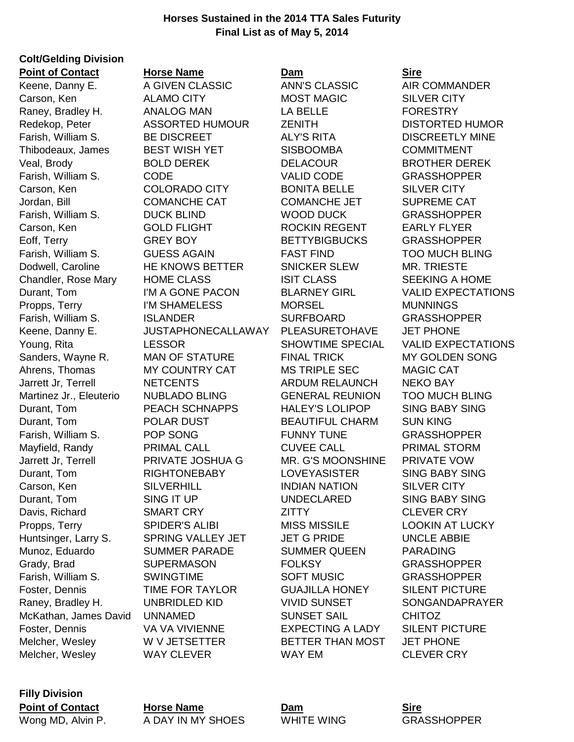## **Horses Sustained in the 2014 TTA Sales Futurity Final List as of May 5, 2014**

## **Colt/Gelding Division Point of Contact 6 Horse Name <b>Dam Dam Sire**

Carson, Ken ALAMO CITY MOST MAGIC SILVER CITY Raney, Bradley H. ANALOG MAN LA BELLE FORESTRY Redekop, Peter ASSORTED HUMOUR ZENITH DISTORTED HUMOR Farish, William S. BE DISCREET ALY'S RITA DISCREETLY MINE Thibodeaux, James BEST WISH YET SISBOOMBA COMMITMENT Veal, Brody BOLD DEREK DELACOUR BROTHER DEREK Farish, William S. CODE VALID CODE GRASSHOPPER Carson, Ken COLORADO CITY BONITA BELLE SILVER CITY Jordan, Bill COMANCHE CAT COMANCHE JET SUPREME CAT Farish, William S. DUCK BLIND WOOD DUCK GRASSHOPPER Carson, Ken GOLD FLIGHT ROCKIN REGENT EARLY FLYER Eoff, Terry **GREY BOY** BETTYBIGBUCKS GRASSHOPPER Farish, William S. GUESS AGAIN FAST FIND TOO MUCH BLING Dodwell, Caroline **HE KNOWS BETTER** SNICKER SLEW MR. TRIESTE Chandler, Rose Mary HOME CLASS ISIT CLASS SEEKING A HOME Propps, Terry **I'M SHAMELESS MORSEL MUNNINGS** Farish, William S. ISLANDER SURFBOARD GRASSHOPPER Keene, Danny E. JUSTAPHONECALLAWAY PLEASURETOHAVE JET PHONE Sanders, Wayne R. MAN OF STATURE FINAL TRICK MY GOLDEN SONG Ahrens, Thomas MY COUNTRY CAT MS TRIPLE SEC MAGIC CAT Jarrett Jr, Terrell NETCENTS ARDUM RELAUNCH NEKO BAY Martinez Jr., Eleuterio NUBLADO BLING GENERAL REUNION TOO MUCH BLING Durant, Tom PEACH SCHNAPPS HALEY'S LOLIPOP SING BABY SING Durant, Tom POLAR DUST BEAUTIFUL CHARM SUN KING Farish, William S. POP SONG FUNNY TUNE GRASSHOPPER Mayfield, Randy **PRIMAL CALL** CUVEE CALL PRIMAL STORM Jarrett Jr, Terrell PRIVATE JOSHUA G MR. G'S MOONSHINE PRIVATE VOW Durant, Tom RIGHTONEBABY LOVEYASISTER SING BABY SING Carson, Ken SILVERHILL INDIAN NATION SILVER CITY Durant, Tom SING IT UP UNDECLARED SING BABY SING Davis, Richard SMART CRY **ZITTY** CLEVER CRY Propps, Terry **SPIDER'S ALIBI** MISS MISSILE LOOKIN AT LUCKY Huntsinger, Larry S. SPRING VALLEY JET JET G PRIDE UNCLE ABBIE Munoz, Eduardo SUMMER PARADE SUMMER QUEEN PARADING Grady, Brad **SUPERMASON** FOLKSY GRASSHOPPER Farish, William S. SWINGTIME SOFT MUSIC GRASSHOPPER Foster, Dennis TIME FOR TAYLOR GUAJILLA HONEY SILENT PICTURE Raney, Bradley H. CONBRIDLED KID VIVID SUNSET SONGANDAPRAYER McKathan, James David UNNAMED SUNSET SAIL CHITOZ Foster, Dennis VA VA VIVIENNE EXPECTING A LADY SILENT PICTURE Melcher, Wesley W V JETSETTER BETTER THAN MOST JET PHONE Melcher, Wesley WAY CLEVER WAY EM WAY EM CLEVER CRY

Keene, Danny E. A GIVEN CLASSIC ANN'S CLASSIC AIR COMMANDER

Durant, Tom I'M A GONE PACON BLARNEY GIRL VALID EXPECTATIONS Young, Rita **Research LESSOR** SHOWTIME SPECIAL VALID EXPECTATIONS

**Filly Division**

**Point of Contact Horse Name Dam Sire** Wong MD, Alvin P. A DAY IN MY SHOES WHITE WING GRASSHOPPER